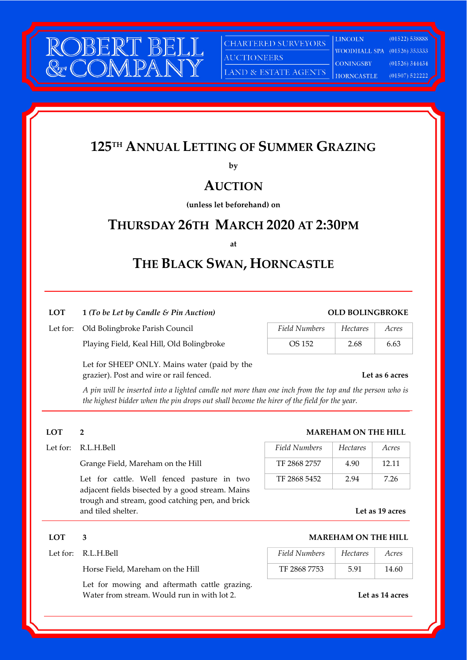

CHARTERED SURVEYORS

**AUCTIONEERS** 

LAND & ESTATE AGENTS

**LINCOLN** WOODHALL SPA (01526) 353333 **CONINGSBY HORNCASTLE** 

 $(01522) 538888$  $(01526)$  344434  $(01507)$  522222

# **125TH ANNUAL LETTING OF SUMMER GRAZING**

**by** 

# **AUCTION**

**(unless let beforehand) on** 

# **THURSDAY 26TH MARCH 2020 AT 2:30PM**

**at** 

# **THE BLACK SWAN, HORNCASTLE**

## **LOT 1** *(To be Let by Candle & Pin Auction)* **OLD BOLINGBROKE**

## Let for: Old Bolingbroke Parish Council

Playing Field, Keal Hill, Old Bolingbroke

| Field Numbers | <b>Hectares</b> | Acres |
|---------------|-----------------|-------|
| OS 152        | 2.68            | 6.63  |

Let for SHEEP ONLY. Mains water (paid by the grazier). Post and wire or rail fenced. **Let as 6 acres**

*A pin will be inserted into a lighted candle not more than one inch from the top and the person who is the highest bidder when the pin drops out shall become the hirer of the field for the year.* 

 Let for cattle. Well fenced pasture in two adjacent fields bisected by a good stream. Mains trough and stream, good catching pen, and brick and tiled shelter.

Let for mowing and aftermath cattle grazing. Water from stream. Would run in with lot 2. **Let as 14 acres** 

# **LOT 2 MAREHAM ON THE HILL**

| Let for:     R.L.H.Bell                    | Field Numbers | Hectares | Acres |
|--------------------------------------------|---------------|----------|-------|
| Grange Field, Mareham on the Hill          | TF 2868 2757  | 4.90     | 12.11 |
| Let for cattle. Well fenced pasture in two | TF 2868 5452  | 2.94     | 7.26  |

**Let as 19 acres**

## **LOT 3 MAREHAM ON THE HILL**

| Let for:     R.L.H.Bell          | Field Numbers | Hectares | Acres |
|----------------------------------|---------------|----------|-------|
| Horse Field. Mareham on the Hill | TF 2868 7753  | 591      | 14.60 |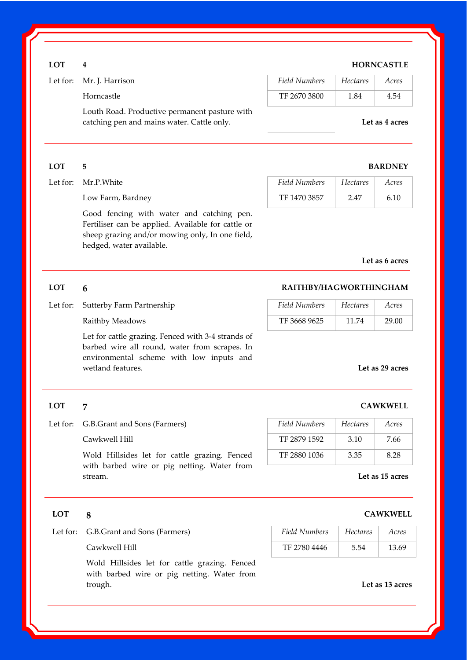## **LOT 4 HORNCASTLE**

| Let for: Mr. J. Harrison                                                                    | Field Numbers | <b>Hectares</b> | Acres          |
|---------------------------------------------------------------------------------------------|---------------|-----------------|----------------|
| Horncastle                                                                                  | TF 2670 3800  | 1.84            | 4.54           |
| Louth Road. Productive permanent pasture with<br>catching pen and mains water. Cattle only. |               |                 | Let as 4 acres |

### **LOT 5 BARDNEY**

| Let for: Mr.P.White | Field Numbers | Hectares | Acres |
|---------------------|---------------|----------|-------|
| Low Farm, Bardney   | TF 1470 3857  | 247      | 6.10  |

 Good fencing with water and catching pen. Fertiliser can be applied. Available for cattle or sheep grazing and/or mowing only, In one field, hedged, water available.

### **Let as 6 acres**

## **LOT 6 RAITHBY/HAGWORTHINGHAM**

| Field Numbers | <b>Hectares</b> | Acres |
|---------------|-----------------|-------|
| TF 3668 9625  | 11.74           | 29.00 |

Let for cattle grazing. Fenced with 3-4 strands of barbed wire all round, water from scrapes. In environmental scheme with low inputs and wetland features. **Let as 29 acres**

# **LOT 7 CAWKWELL**

Let for: G.B.Grant and Sons (Farmers)

Let for: Sutterby Farm Partnership Raithby Meadows

### Cawkwell Hill

 Wold Hillsides let for cattle grazing. Fenced with barbed wire or pig netting. Water from stream.

| Field Numbers | <b>Hectares</b> | Acres |
|---------------|-----------------|-------|
| TF 2879 1592  | 3.10            | 7.66  |
| TF 2880 1036  | 3.35            | 8.28  |

### **Let as 15 acres**

Let for: G.B.Grant and Sons (Farmers) *Field Numbers Hectares Acres* 

| G.B.Grant and Sons (Farmers) | Field Numbers | <i>Hectares</i> | Acres |
|------------------------------|---------------|-----------------|-------|
| Cawkwell Hill                | TF 2780 4446  | 5.54            | 13.69 |

Wold Hillsides let for cattle grazing. Fenced with barbed wire or pig netting. Water from trough. **Let as 13 acres**

# **LOT 8 CAWKWELL**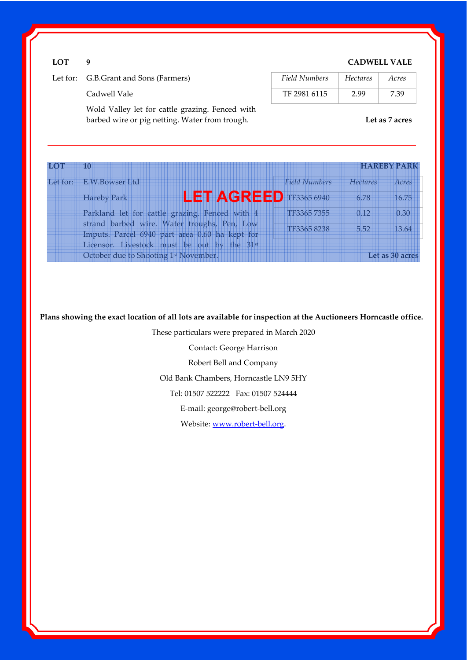## **LOT 9 CADWELL VALE**

| Let for: G.B.Grant and Sons (Farmers) | Field Numbers | Hectares | Acres |
|---------------------------------------|---------------|----------|-------|
| Cadwell Vale                          | TF 2981 6115  | 2.99     | 7.39  |

Wold Valley let for cattle grazing. Fenced with barbed wire or pig netting. Water from trough. **Let as 7 acres**

| <b>HOT</b> | <b>10</b>                                                                                     |                      |          | <b>HAREBY PARK</b> |
|------------|-----------------------------------------------------------------------------------------------|----------------------|----------|--------------------|
| Let for:   | <b>EW Bowser Ltd</b>                                                                          | <b>Field Numbers</b> | Hectares | Acres              |
|            | <b>LET AGREED TF3365 6940</b><br><b>Hareby Park</b>                                           |                      | 6.78     | 16.75              |
|            | Parkland let for cattle grazing. Fenced with 4                                                | TF3365 7355          | 0.12     | 0.30               |
|            | strand barbed wire. Water troughs, Pen, Low<br>Imputs. Parcel 6940 part area 0.60 ha kept for | TF3365 8238          | 5.52     | 13.64              |
|            | Licensor. Livestock must be out by the 31st                                                   |                      |          |                    |
|            | October due to Shooting 1 <sup>st</sup> November.                                             |                      |          | Let as 30 acres    |

**Plans showing the exact location of all lots are available for inspection at the Auctioneers Horncastle office.** 

These particulars were prepared in March 2020

Contact: George Harrison

Robert Bell and Company

Old Bank Chambers, Horncastle LN9 5HY

Tel: 01507 522222 Fax: 01507 524444

E-mail: george@robert-bell.org

Website: www.robert-bell.org.